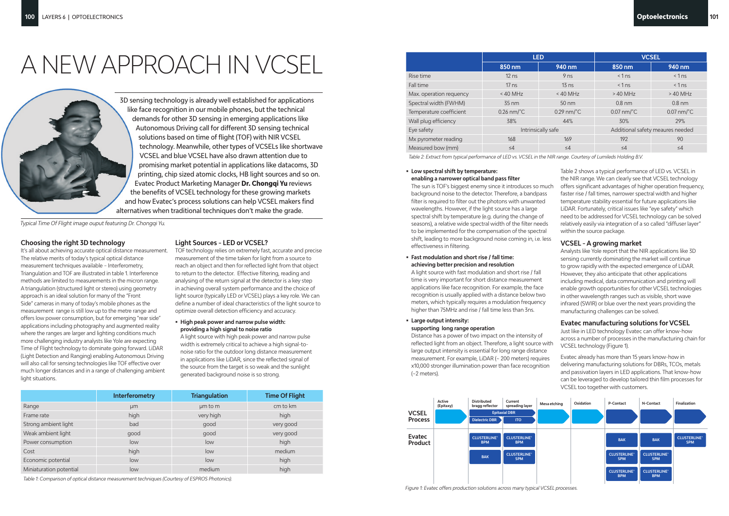3D sensing technology is already well established for applications like face recognition in our mobile phones, but the technical demands for other 3D sensing in emerging applications like Autonomous Driving call for different 3D sensing technical solutions based on time of flight (TOF) with NIR VCSEL technology. Meanwhile, other types of VCSELs like shortwave VCSEL and blue VCSEL have also drawn attention due to promising market potential in applications like datacoms, 3D printing, chip sized atomic clocks, HB light sources and so on. Evatec Product Marketing Manager **Dr. Chongqi Yu** reviews the benefits of VCSEL technology for these growing markets and how Evatec's process solutions can help VCSEL makers find alternatives when traditional techniques don't make the grade.

### **Low spectral shift by temperature:**

#### **Fast modulation and short rise / fall time: achieving better precision and resolution**

A light source with fast modulation and short rise / fall time is very important for short distance measurement applications like face recognition. For example, the face recognition is usually applied with a distance below two meters, which typically requires a modulation frequency higher than 75MHz and rise / fall time less than 3ns.

**enabling a narrower optical band pass filter** The sun is TOF's biggest enemy since it introduces so much background noise to the detector. Therefore, a bandpass filter is required to filter out the photons with unwanted wavelengths. However, if the light source has a large spectral shift by temperature (e.g. during the change of seasons), a relative wide spectral width of the filter needs to be implemented for the compensation of the spectral shift, leading to more background noise coming in, i.e. less effectiveness in filtering. Table 2 shows a typical performance of LED vs. VCSEL in the NIR range. We can clearly see that VCSEL technology offers significant advantages of higher operation frequency, faster rise / fall times, narrower spectral width and higher temperature stability essential for future applications like LiDAR. Fortunately, critical issues like "eye safety" which need to be addressed for VCSEL technology can be solved relatively easily via integration of a so called "diffuser layer" within the source package. **VCSEL - A growing market**

#### **Large output intensity: supporting long range operation**

It's all about achieving accurate optical distance measurement. The relative merits of today's typical optical distance measurement techniques available – Interferometry, Triangulation and TOF are illustrated in table 1. Interference methods are limited to measurements in the micron range. A triangulation (structured light or stereo) using geometry approach is an ideal solution for many of the "Front Side" cameras in many of today's mobile phones as the measurement range is still low up to the metre range and offers low power consumption, but for emerging "rear side" applications including photography and augmented reality where the ranges are larger and lighting conditions much more challenging industry analysts like Yole are expecting Time of Flight technology to dominate going forward. LiDAR (Light Detection and Ranging) enabling Autonomous Driving will also call for sensing technologies like TOF effective over much longer distances and in a range of challenging ambient light situations.

Distance has a power of two impact on the intensity of reflected light from an object. Therefore, a light source with large output intensity is essential for long range distance measurement. For example, LiDAR (~ 200 meters) requires x10,000 stronger illumination power than face recognition (~2 meters). Just like in LED technology Evatec can offer know-how across a number of processes in the manufacturing chain for VCSEL technology (Figure 1). Evatec already has more than 15 years know-how in delivering manufacturing solutions for DBRs, TCOs, metals and passivation layers in LED applications. That know-how can be leveraged to develop tailored thin film processes for VCSEL too together with customers.

Analysts like Yole report that the NIR applications like 3D sensing currently dominating the market will continue to grow rapidly with the expected emergence of LiDAR. However, they also anticipate that other applications including medical, data communication and printing will enable growth opportunities for other VCSEL technologies in other wavelength ranges such as visible, short wave infrared (SWIR) or blue over the next years providing the manufacturing challenges can be solved.

#### **Evatec manufacturing solutions for VCSEL**

#### **Choosing the right 3D technology**

#### **Light Sources - LED or VCSEL?**

TOF technology relies on extremely fast, accurate and precise measurement of the time taken for light from a source to reach an object and then for reflected light from that object to return to the detector. Effective filtering, reading and analysing of the return signal at the detector is a key step in achieving overall system performance and the choice of light source (typically LED or VCSEL) plays a key role. We can define a number of ideal characteristics of the light source to optimize overall detection efficiency and accuracy.

 **High peak power and narrow pulse width: providing a high signal to noise ratio**

A light source with high peak power and narrow pulse width is extremely critical to achieve a high signal-tonoise ratio for the outdoor long distance measurement in applications like LiDAR, since the reflected signal of the source from the target is so weak and the sunlight generated background noise is so strong.

# A NEW APPROACH IN VCSEL **LED VCSEL**

|                         | <b>LED</b>         |                 | <b>VCSEL</b>                     |                 |  |
|-------------------------|--------------------|-----------------|----------------------------------|-----------------|--|
|                         | 850 nm             | 940 nm          | 850 nm                           | 940 nm          |  |
| Rise time               | $12$ ns            | 9 <sub>ns</sub> | < 1ns                            | < 1ns           |  |
| Fall time               | 17 <sub>ns</sub>   | $13$ ns         | < 1ns                            | < 1ns           |  |
| Max. operation requency | $<$ 40 MHz         | $<$ 40 MHz      | $>40$ MHz                        | $>40$ MHz       |  |
| Spectral width (FWHM)   | $35 \text{ nm}$    | $50 \text{ nm}$ | $0.8$ nm                         | $0.8$ nm        |  |
| Temperature coefficient | $0.26$ nm/ $°C$    | $0.29$ nm/ $°C$ | $0.07$ nm/ $^{\circ}$ C          | $0.07$ nm/ $°C$ |  |
| Wall plug efficiency    | 38%                | 44%             | 30%                              | 29%             |  |
| Eye safety              | Intrinsically safe |                 | Additional safety meaures needed |                 |  |
| Mx pyrometer reading    | 168                | 169             | 192                              | 90              |  |
| Measured bow (mm)       | $\leq 4$           | $\leq 4$        | $\leq 4$                         | $\leq 4$        |  |

*Table 2: Extract from typical performance of LED vs. VCSEL in the NIR range. Courtesy of Lumileds Holding B.V.*

|                         | Interferometry | <b>Triangulation</b> | <b>Time Of Flight</b> |
|-------------------------|----------------|----------------------|-----------------------|
| Range                   | µm             | um to m              | cm to km              |
| Frame rate              | high           | very high            | high                  |
| Strong ambient light    | bad            | good                 | very good             |
| Weak ambient light      | good           | good                 | very good             |
| Power consumption       | low            | low                  | high                  |
| Cost                    | high           | low                  | medium                |
| Economic potential      | low            | low                  | high                  |
| Miniaturation potential | low            | medium               | high                  |

*Table 1: Comparison of optical distance measurement techniques (Courtesy of ESPROS Photonics).*



*Figure 1: Evatec offers production solutions across many typical VCSEL processes.*

*Typical Time Of Flight image ouput featuring Dr. Chongqi Yu.*